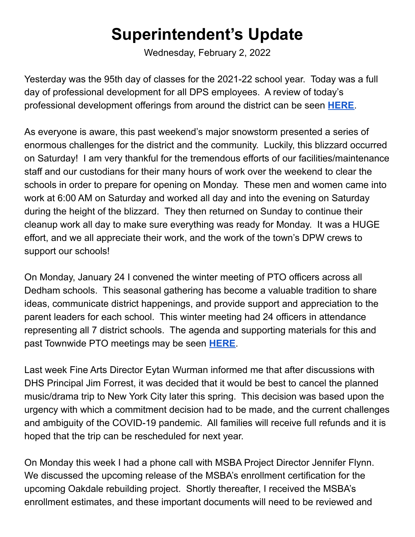## **Superintendent's Update**

Wednesday, February 2, 2022

Yesterday was the 95th day of classes for the 2021-22 school year. Today was a full day of professional development for all DPS employees. A review of today's professional development offerings from around the district can be seen **[HERE](https://docs.google.com/document/d/1wlrotcB5n0bamm7iHtKWVN8eh37GpsXtenAoBMRKqCE/edit)**.

As everyone is aware, this past weekend's major snowstorm presented a series of enormous challenges for the district and the community. Luckily, this blizzard occurred on Saturday! I am very thankful for the tremendous efforts of our facilities/maintenance staff and our custodians for their many hours of work over the weekend to clear the schools in order to prepare for opening on Monday. These men and women came into work at 6:00 AM on Saturday and worked all day and into the evening on Saturday during the height of the blizzard. They then returned on Sunday to continue their cleanup work all day to make sure everything was ready for Monday. It was a HUGE effort, and we all appreciate their work, and the work of the town's DPW crews to support our schools!

On Monday, January 24 I convened the winter meeting of PTO officers across all Dedham schools. This seasonal gathering has become a valuable tradition to share ideas, communicate district happenings, and provide support and appreciation to the parent leaders for each school. This winter meeting had 24 officers in attendance representing all 7 district schools. The agenda and supporting materials for this and past Townwide PTO meetings may be seen **[HERE](https://docs.google.com/document/d/1XrHvWrIrpen2LIwoLwMflwXuMY4F438DpBLO0cSs92s/edit)**.

Last week Fine Arts Director Eytan Wurman informed me that after discussions with DHS Principal Jim Forrest, it was decided that it would be best to cancel the planned music/drama trip to New York City later this spring. This decision was based upon the urgency with which a commitment decision had to be made, and the current challenges and ambiguity of the COVID-19 pandemic. All families will receive full refunds and it is hoped that the trip can be rescheduled for next year.

On Monday this week I had a phone call with MSBA Project Director Jennifer Flynn. We discussed the upcoming release of the MSBA's enrollment certification for the upcoming Oakdale rebuilding project. Shortly thereafter, I received the MSBA's enrollment estimates, and these important documents will need to be reviewed and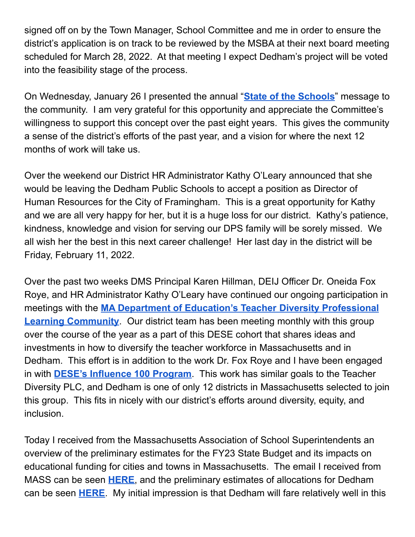signed off on by the Town Manager, School Committee and me in order to ensure the district's application is on track to be reviewed by the MSBA at their next board meeting scheduled for March 28, 2022. At that meeting I expect Dedham's project will be voted into the feasibility stage of the process.

On Wednesday, January 26 I presented the annual "**State of the [Schools](https://docs.google.com/presentation/d/1HuljJZdcgvyjqZeU6pFjxoFR5Gh7LfDXijetZMY4z9s/edit?usp=sharing)**" message to the community. I am very grateful for this opportunity and appreciate the Committee's willingness to support this concept over the past eight years. This gives the community a sense of the district's efforts of the past year, and a vision for where the next 12 months of work will take us.

Over the weekend our District HR Administrator Kathy O'Leary announced that she would be leaving the Dedham Public Schools to accept a position as Director of Human Resources for the City of Framingham. This is a great opportunity for Kathy and we are all very happy for her, but it is a huge loss for our district. Kathy's patience, kindness, knowledge and vision for serving our DPS family will be sorely missed. We all wish her the best in this next career challenge! Her last day in the district will be Friday, February 11, 2022.

Over the past two weeks DMS Principal Karen Hillman, DEIJ Officer Dr. Oneida Fox Roye, and HR Administrator Kathy O'Leary have continued our ongoing participation in meetings with the **MA Department of Education's Teacher Diversity [Professional](https://www.doe.mass.edu/csi/diverse-workforce/community.html) Learning [Community](https://www.doe.mass.edu/csi/diverse-workforce/community.html)**. Our district team has been meeting monthly with this group over the course of the year as a part of this DESE cohort that shares ideas and investments in how to diversify the teacher workforce in Massachusetts and in Dedham. This effort is in addition to the work Dr. Fox Roye and I have been engaged in with **DESE's [Influence](https://www.doe.mass.edu/csi/diverse-workforce/influence100.html) 100 Program**. This work has similar goals to the Teacher Diversity PLC, and Dedham is one of only 12 districts in Massachusetts selected to join this group. This fits in nicely with our district's efforts around diversity, equity, and inclusion.

Today I received from the Massachusetts Association of School Superintendents an overview of the preliminary estimates for the FY23 State Budget and its impacts on educational funding for cities and towns in Massachusetts. The email I received from MASS can be seen **[HERE](https://drive.google.com/file/d/1KN8WcKjjso-7aBhCyTP8vIz2auxCkIxo/view?usp=sharing)**, and the preliminary estimates of allocations for Dedham can be seen **[HERE](https://docs.google.com/spreadsheets/d/1zItoxtpsl9LyppSRgBTPpG-cUNwoysK3/edit?usp=sharing&ouid=113478402787841178640&rtpof=true&sd=true)**. My initial impression is that Dedham will fare relatively well in this